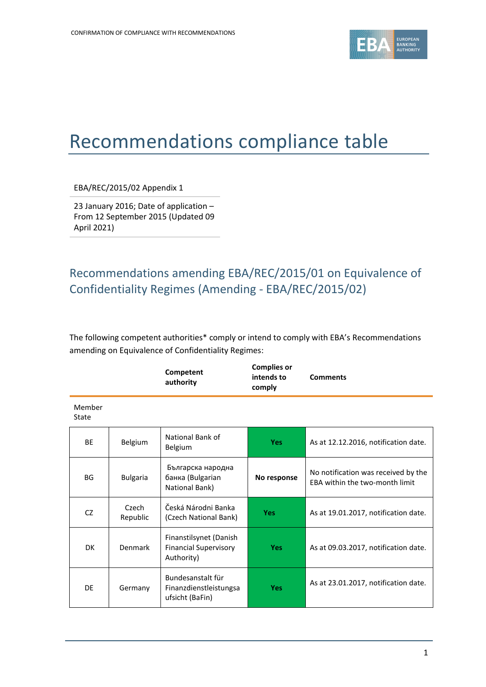

# Recommendations compliance table

EBA/REC/2015/02 Appendix 1

23 January 2016; Date of application – From 12 September 2015 (Updated 09 April 2021)

## Recommendations amending EBA/REC/2015/01 on Equivalence of Confidentiality Regimes (Amending - EBA/REC/2015/02)

The following competent authorities\* comply or intend to comply with EBA's Recommendations amending on Equivalence of Confidentiality Regimes:

|                 |                   | Competent<br>authority                                               | <b>Complies or</b><br>intends to<br>comply | <b>Comments</b>                                                       |
|-----------------|-------------------|----------------------------------------------------------------------|--------------------------------------------|-----------------------------------------------------------------------|
| Member<br>State |                   |                                                                      |                                            |                                                                       |
| <b>BE</b>       | Belgium           | National Bank of<br>Belgium                                          | <b>Yes</b>                                 | As at 12.12.2016, notification date.                                  |
| BG              | <b>Bulgaria</b>   | Българска народна<br>банка (Bulgarian<br>National Bank)              | No response                                | No notification was received by the<br>FBA within the two-month limit |
| CZ              | Czech<br>Republic | Česká Národni Banka<br>(Czech National Bank)                         | <b>Yes</b>                                 | As at 19.01.2017, notification date.                                  |
| <b>DK</b>       | Denmark           | Finanstilsynet (Danish<br><b>Financial Supervisory</b><br>Authority) | <b>Yes</b>                                 | As at 09.03.2017, notification date.                                  |
| DE              | Germany           | Bundesanstalt für<br>Finanzdienstleistungsa<br>ufsicht (BaFin)       | <b>Yes</b>                                 | As at 23.01.2017, notification date.                                  |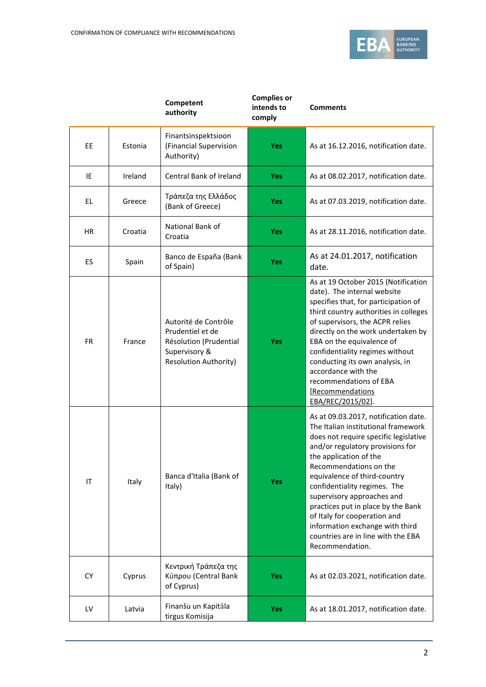

|           |         | Competent<br>authority                                                                                              | <b>Complies or</b><br>intends to<br>comply | <b>Comments</b>                                                                                                                                                                                                                                                                                                                                                                                                                                                              |
|-----------|---------|---------------------------------------------------------------------------------------------------------------------|--------------------------------------------|------------------------------------------------------------------------------------------------------------------------------------------------------------------------------------------------------------------------------------------------------------------------------------------------------------------------------------------------------------------------------------------------------------------------------------------------------------------------------|
| EE        | Estonia | Finantsinspektsioon<br>(Financial Supervision<br>Authority)                                                         | Yes                                        | As at 16.12.2016, notification date.                                                                                                                                                                                                                                                                                                                                                                                                                                         |
| IE        | Ireland | Central Bank of Ireland                                                                                             | <b>Yes</b>                                 | As at 08.02.2017, notification date.                                                                                                                                                                                                                                                                                                                                                                                                                                         |
| <b>EL</b> | Greece  | Τράπεζα της Ελλάδος<br>(Bank of Greece)                                                                             | <b>Yes</b>                                 | As at 07.03.2019, notification date.                                                                                                                                                                                                                                                                                                                                                                                                                                         |
| ΗR        | Croatia | National Bank of<br>Croatia                                                                                         | Yes                                        | As at 28.11.2016, notification date.                                                                                                                                                                                                                                                                                                                                                                                                                                         |
| <b>ES</b> | Spain   | Banco de España (Bank<br>of Spain)                                                                                  | Yes                                        | As at 24.01.2017, notification<br>date.                                                                                                                                                                                                                                                                                                                                                                                                                                      |
| <b>FR</b> | France  | Autorité de Contrôle<br>Prudentiel et de<br>Résolution (Prudential<br>Supervisory &<br><b>Resolution Authority)</b> | <b>Yes</b>                                 | As at 19 October 2015 (Notification<br>date). The internal website<br>specifies that, for participation of<br>third country authorities in colleges<br>of supervisors, the ACPR relies<br>directly on the work undertaken by<br>EBA on the equivalence of<br>confidentiality regimes without<br>conducting its own analysis, in<br>accordance with the<br>recommendations of EBA<br>[Recommendations<br>EBA/REC/2015/02].                                                    |
| IT        | Italy   | Banca d'Italia (Bank of<br>Italy)                                                                                   | <b>Yes</b>                                 | As at 09.03.2017, notification date.<br>The Italian institutional framework<br>does not require specific legislative<br>and/or regulatory provisions for<br>the application of the<br>Recommendations on the<br>equivalence of third-country<br>confidentiality regimes. The<br>supervisory approaches and<br>practices put in place by the Bank<br>of Italy for cooperation and<br>information exchange with third<br>countries are in line with the EBA<br>Recommendation. |
| <b>CY</b> | Cyprus  | Κεντρική Τράπεζα της<br>Κύπρου (Central Bank<br>of Cyprus)                                                          | <b>Yes</b>                                 | As at 02.03.2021, notification date.                                                                                                                                                                                                                                                                                                                                                                                                                                         |
| LV        | Latvia  | Finanšu un Kapitāla<br>tirgus Komisija                                                                              | <b>Yes</b>                                 | As at 18.01.2017, notification date.                                                                                                                                                                                                                                                                                                                                                                                                                                         |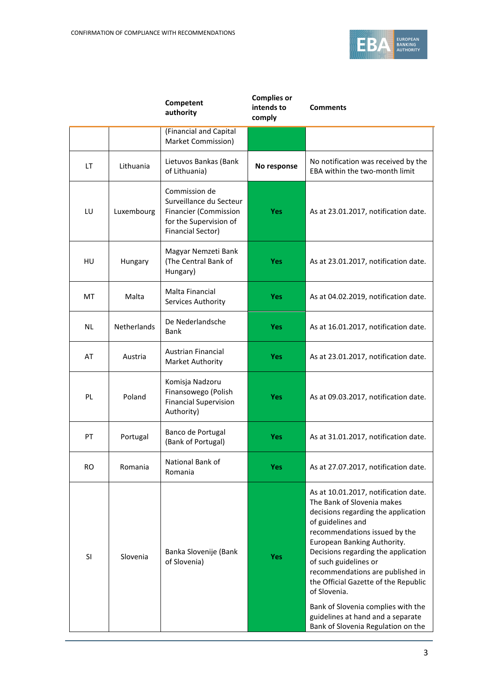

|           |                    | Competent<br>authority                                                                                                  | <b>Complies or</b><br>intends to<br>comply | <b>Comments</b>                                                                                                                                                                                                                                                                                                                                                                                                                                                             |
|-----------|--------------------|-------------------------------------------------------------------------------------------------------------------------|--------------------------------------------|-----------------------------------------------------------------------------------------------------------------------------------------------------------------------------------------------------------------------------------------------------------------------------------------------------------------------------------------------------------------------------------------------------------------------------------------------------------------------------|
|           |                    | (Financial and Capital<br>Market Commission)                                                                            |                                            |                                                                                                                                                                                                                                                                                                                                                                                                                                                                             |
| LT        | Lithuania          | Lietuvos Bankas (Bank<br>of Lithuania)                                                                                  | No response                                | No notification was received by the<br>EBA within the two-month limit                                                                                                                                                                                                                                                                                                                                                                                                       |
| LU        | Luxembourg         | Commission de<br>Surveillance du Secteur<br>Financier (Commission<br>for the Supervision of<br><b>Financial Sector)</b> | <b>Yes</b>                                 | As at 23.01.2017, notification date.                                                                                                                                                                                                                                                                                                                                                                                                                                        |
| HU        | Hungary            | Magyar Nemzeti Bank<br>(The Central Bank of<br>Hungary)                                                                 | <b>Yes</b>                                 | As at 23.01.2017, notification date.                                                                                                                                                                                                                                                                                                                                                                                                                                        |
| МT        | Malta              | Malta Financial<br>Services Authority                                                                                   | Yes                                        | As at 04.02.2019, notification date.                                                                                                                                                                                                                                                                                                                                                                                                                                        |
| ΝL        | <b>Netherlands</b> | De Nederlandsche<br>Bank                                                                                                | <b>Yes</b>                                 | As at 16.01.2017, notification date.                                                                                                                                                                                                                                                                                                                                                                                                                                        |
| AT        | Austria            | <b>Austrian Financial</b><br>Market Authority                                                                           | <b>Yes</b>                                 | As at 23.01.2017, notification date.                                                                                                                                                                                                                                                                                                                                                                                                                                        |
| PL        | Poland             | Komisja Nadzoru<br>Finansowego (Polish<br><b>Financial Supervision</b><br>Authority)                                    | <b>Yes</b>                                 | As at 09.03.2017, notification date.                                                                                                                                                                                                                                                                                                                                                                                                                                        |
| PT        | Portugal           | Banco de Portugal<br>(Bank of Portugal)                                                                                 | Yes                                        | As at 31.01.2017, notification date.                                                                                                                                                                                                                                                                                                                                                                                                                                        |
| <b>RO</b> | Romania            | National Bank of<br>Romania                                                                                             | Yes                                        | As at 27.07.2017, notification date.                                                                                                                                                                                                                                                                                                                                                                                                                                        |
| SI        | Slovenia           | Banka Slovenije (Bank<br>of Slovenia)                                                                                   | <b>Yes</b>                                 | As at 10.01.2017, notification date.<br>The Bank of Slovenia makes<br>decisions regarding the application<br>of guidelines and<br>recommendations issued by the<br>European Banking Authority.<br>Decisions regarding the application<br>of such guidelines or<br>recommendations are published in<br>the Official Gazette of the Republic<br>of Slovenia.<br>Bank of Slovenia complies with the<br>guidelines at hand and a separate<br>Bank of Slovenia Regulation on the |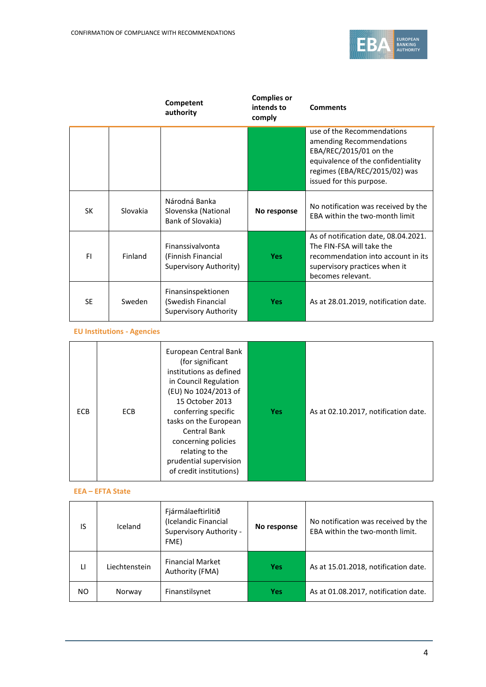

|           |          | Competent<br>authority                                                   | <b>Complies or</b><br>intends to<br>comply | <b>Comments</b>                                                                                                                                                                     |
|-----------|----------|--------------------------------------------------------------------------|--------------------------------------------|-------------------------------------------------------------------------------------------------------------------------------------------------------------------------------------|
|           |          |                                                                          |                                            | use of the Recommendations<br>amending Recommendations<br>EBA/REC/2015/01 on the<br>equivalence of the confidentiality<br>regimes (EBA/REC/2015/02) was<br>issued for this purpose. |
| SK        | Slovakia | Národná Banka<br>Slovenska (National<br>Bank of Slovakia)                | No response                                | No notification was received by the<br>FBA within the two-month limit                                                                                                               |
| FI.       | Finland  | Finanssivalvonta<br>(Finnish Financial<br>Supervisory Authority)         | <b>Yes</b>                                 | As of notification date, 08.04.2021.<br>The FIN-FSA will take the<br>recommendation into account in its<br>supervisory practices when it<br>becomes relevant.                       |
| <b>SE</b> | Sweden   | Finansinspektionen<br>(Swedish Financial<br><b>Supervisory Authority</b> | <b>Yes</b>                                 | As at 28.01.2019, notification date.                                                                                                                                                |

#### **EU Institutions - Agencies**

| <b>ECB</b> | <b>ECB</b> | European Central Bank<br>(for significant<br>institutions as defined<br>in Council Regulation<br>(EU) No 1024/2013 of<br>15 October 2013<br>conferring specific<br>tasks on the European<br><b>Central Bank</b><br>concerning policies<br>relating to the<br>prudential supervision<br>of credit institutions) | <b>Yes</b> | As at 02.10.2017, notification date. |
|------------|------------|----------------------------------------------------------------------------------------------------------------------------------------------------------------------------------------------------------------------------------------------------------------------------------------------------------------|------------|--------------------------------------|
|------------|------------|----------------------------------------------------------------------------------------------------------------------------------------------------------------------------------------------------------------------------------------------------------------------------------------------------------------|------------|--------------------------------------|

#### **EEA – EFTA State**

| IS           | Iceland       | Fjármálaeftirlitið<br>(Icelandic Financial<br>Supervisory Authority -<br>FME) | No response | No notification was received by the<br>EBA within the two-month limit. |
|--------------|---------------|-------------------------------------------------------------------------------|-------------|------------------------------------------------------------------------|
| $\mathbf{H}$ | Liechtenstein | <b>Financial Market</b><br>Authority (FMA)                                    | <b>Yes</b>  | As at 15.01.2018, notification date.                                   |
| NO.          | Norway        | Finanstilsynet                                                                | <b>Yes</b>  | As at 01.08.2017, notification date.                                   |